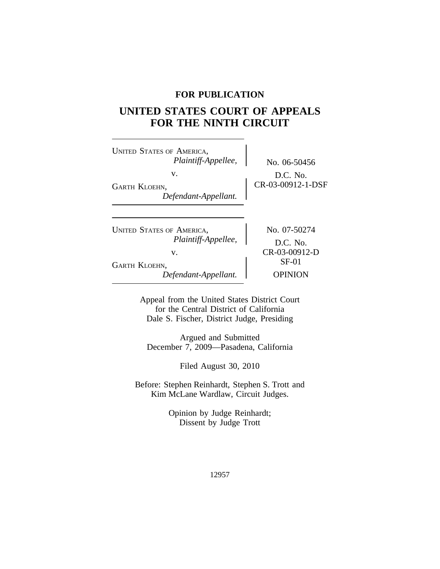## **FOR PUBLICATION**

# **UNITED STATES COURT OF APPEALS FOR THE NINTH CIRCUIT**

| <b>UNITED STATES OF AMERICA,</b><br>Plaintiff-Appellee,<br>v.<br><b>GARTH KLOEHN,</b> | No. 06-50456<br>D.C. No.<br>CR-03-00912-1-DSF          |
|---------------------------------------------------------------------------------------|--------------------------------------------------------|
| Defendant-Appellant.                                                                  |                                                        |
| <b>UNITED STATES OF AMERICA,</b><br>Plaintiff-Appellee,<br>v.                         | No. 07-50274<br>$D.C.$ No.<br>CR-03-00912-D<br>$SF-01$ |
| <b>GARTH KLOEHN,</b><br>Defendant-Appellant.                                          | OPINION                                                |

Appeal from the United States District Court for the Central District of California Dale S. Fischer, District Judge, Presiding

Argued and Submitted December 7, 2009—Pasadena, California

Filed August 30, 2010

Before: Stephen Reinhardt, Stephen S. Trott and Kim McLane Wardlaw, Circuit Judges.

> Opinion by Judge Reinhardt; Dissent by Judge Trott

> > 12957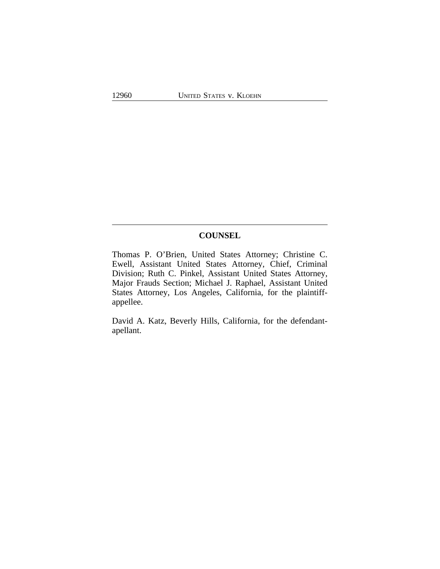### **COUNSEL**

Thomas P. O'Brien, United States Attorney; Christine C. Ewell, Assistant United States Attorney, Chief, Criminal Division; Ruth C. Pinkel, Assistant United States Attorney, Major Frauds Section; Michael J. Raphael, Assistant United States Attorney, Los Angeles, California, for the plaintiffappellee.

David A. Katz, Beverly Hills, California, for the defendantapellant.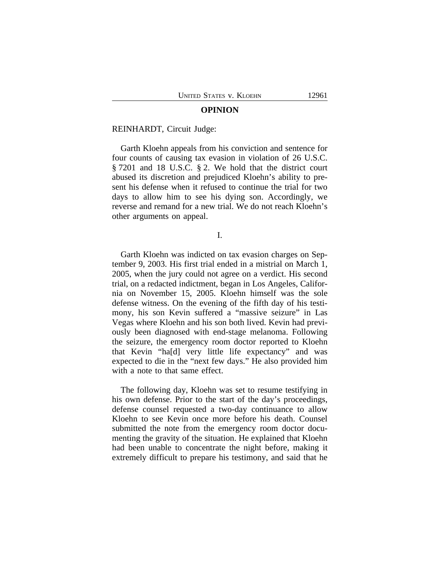#### **OPINION**

#### REINHARDT, Circuit Judge:

Garth Kloehn appeals from his conviction and sentence for four counts of causing tax evasion in violation of 26 U.S.C. § 7201 and 18 U.S.C. § 2. We hold that the district court abused its discretion and prejudiced Kloehn's ability to present his defense when it refused to continue the trial for two days to allow him to see his dying son. Accordingly, we reverse and remand for a new trial. We do not reach Kloehn's other arguments on appeal.

I.

Garth Kloehn was indicted on tax evasion charges on September 9, 2003. His first trial ended in a mistrial on March 1, 2005, when the jury could not agree on a verdict. His second trial, on a redacted indictment, began in Los Angeles, California on November 15, 2005. Kloehn himself was the sole defense witness. On the evening of the fifth day of his testimony, his son Kevin suffered a "massive seizure" in Las Vegas where Kloehn and his son both lived. Kevin had previously been diagnosed with end-stage melanoma. Following the seizure, the emergency room doctor reported to Kloehn that Kevin "ha[d] very little life expectancy" and was expected to die in the "next few days." He also provided him with a note to that same effect.

The following day, Kloehn was set to resume testifying in his own defense. Prior to the start of the day's proceedings, defense counsel requested a two-day continuance to allow Kloehn to see Kevin once more before his death. Counsel submitted the note from the emergency room doctor documenting the gravity of the situation. He explained that Kloehn had been unable to concentrate the night before, making it extremely difficult to prepare his testimony, and said that he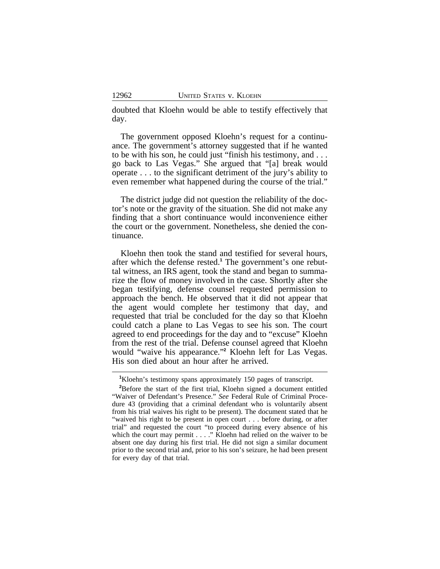doubted that Kloehn would be able to testify effectively that day.

The government opposed Kloehn's request for a continuance. The government's attorney suggested that if he wanted to be with his son, he could just "finish his testimony, and . . . go back to Las Vegas." She argued that "[a] break would operate . . . to the significant detriment of the jury's ability to even remember what happened during the course of the trial."

The district judge did not question the reliability of the doctor's note or the gravity of the situation. She did not make any finding that a short continuance would inconvenience either the court or the government. Nonetheless, she denied the continuance.

Kloehn then took the stand and testified for several hours, after which the defense rested.**<sup>1</sup>** The government's one rebuttal witness, an IRS agent, took the stand and began to summarize the flow of money involved in the case. Shortly after she began testifying, defense counsel requested permission to approach the bench. He observed that it did not appear that the agent would complete her testimony that day, and requested that trial be concluded for the day so that Kloehn could catch a plane to Las Vegas to see his son. The court agreed to end proceedings for the day and to "excuse" Kloehn from the rest of the trial. Defense counsel agreed that Kloehn would "waive his appearance." **2** Kloehn left for Las Vegas. His son died about an hour after he arrived.

**<sup>1</sup>**Kloehn's testimony spans approximately 150 pages of transcript.

**<sup>2</sup>**Before the start of the first trial, Kloehn signed a document entitled "Waiver of Defendant's Presence." *See* Federal Rule of Criminal Procedure 43 (providing that a criminal defendant who is voluntarily absent from his trial waives his right to be present). The document stated that he "waived his right to be present in open court . . . before during, or after trial" and requested the court "to proceed during every absence of his which the court may permit . . . . " Kloehn had relied on the waiver to be absent one day during his first trial. He did not sign a similar document prior to the second trial and, prior to his son's seizure, he had been present for every day of that trial.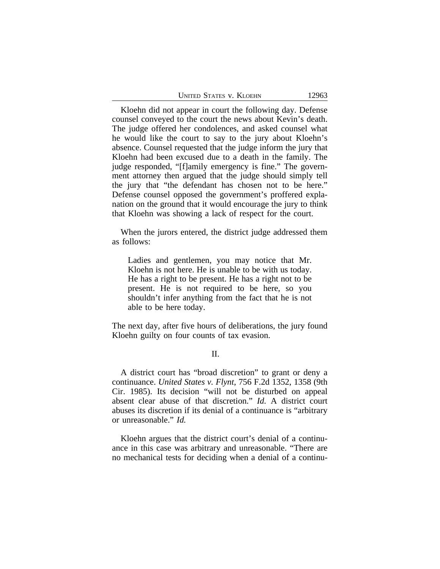| <b>UNITED STATES V. KLOEHN</b> |  | 12963 |
|--------------------------------|--|-------|
|--------------------------------|--|-------|

Kloehn did not appear in court the following day. Defense counsel conveyed to the court the news about Kevin's death. The judge offered her condolences, and asked counsel what he would like the court to say to the jury about Kloehn's absence. Counsel requested that the judge inform the jury that Kloehn had been excused due to a death in the family. The judge responded, "[f]amily emergency is fine." The government attorney then argued that the judge should simply tell the jury that "the defendant has chosen not to be here." Defense counsel opposed the government's proffered explanation on the ground that it would encourage the jury to think that Kloehn was showing a lack of respect for the court.

When the jurors entered, the district judge addressed them as follows:

Ladies and gentlemen, you may notice that Mr. Kloehn is not here. He is unable to be with us today. He has a right to be present. He has a right not to be present. He is not required to be here, so you shouldn't infer anything from the fact that he is not able to be here today.

The next day, after five hours of deliberations, the jury found Kloehn guilty on four counts of tax evasion.

II.

A district court has "broad discretion" to grant or deny a continuance. *United States v. Flynt*, 756 F.2d 1352, 1358 (9th Cir. 1985). Its decision "will not be disturbed on appeal absent clear abuse of that discretion." *Id.* A district court abuses its discretion if its denial of a continuance is "arbitrary or unreasonable." *Id.* 

Kloehn argues that the district court's denial of a continuance in this case was arbitrary and unreasonable. "There are no mechanical tests for deciding when a denial of a continu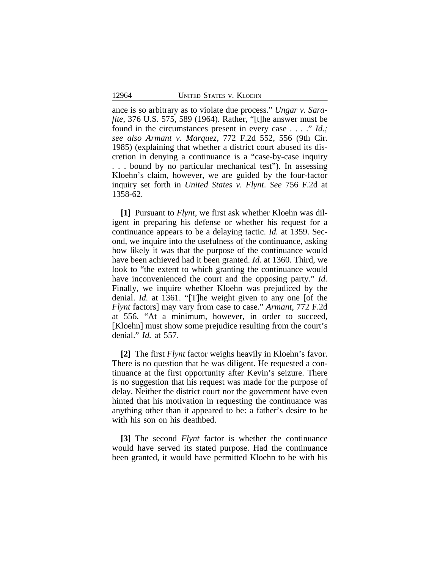ance is so arbitrary as to violate due process." *Ungar v. Sarafite*, 376 U.S. 575, 589 (1964). Rather, "[t]he answer must be found in the circumstances present in every case . . . ." *Id.; see also Armant v. Marquez,* 772 F.2d 552, 556 (9th Cir. 1985) (explaining that whether a district court abused its discretion in denying a continuance is a "case-by-case inquiry . . . bound by no particular mechanical test"). In assessing Kloehn's claim, however, we are guided by the four-factor inquiry set forth in *United States v. Flynt*. *See* 756 F.2d at 1358-62.

**[1]** Pursuant to *Flynt*, we first ask whether Kloehn was diligent in preparing his defense or whether his request for a continuance appears to be a delaying tactic. *Id.* at 1359. Second, we inquire into the usefulness of the continuance, asking how likely it was that the purpose of the continuance would have been achieved had it been granted. *Id.* at 1360. Third, we look to "the extent to which granting the continuance would have inconvenienced the court and the opposing party." *Id.* Finally, we inquire whether Kloehn was prejudiced by the denial. *Id.* at 1361. "[T]he weight given to any one [of the *Flynt* factors] may vary from case to case." *Armant*, 772 F.2d at 556. "At a minimum, however, in order to succeed, [Kloehn] must show some prejudice resulting from the court's denial." *Id.* at 557.

**[2]** The first *Flynt* factor weighs heavily in Kloehn's favor. There is no question that he was diligent. He requested a continuance at the first opportunity after Kevin's seizure. There is no suggestion that his request was made for the purpose of delay. Neither the district court nor the government have even hinted that his motivation in requesting the continuance was anything other than it appeared to be: a father's desire to be with his son on his deathbed.

**[3]** The second *Flynt* factor is whether the continuance would have served its stated purpose. Had the continuance been granted, it would have permitted Kloehn to be with his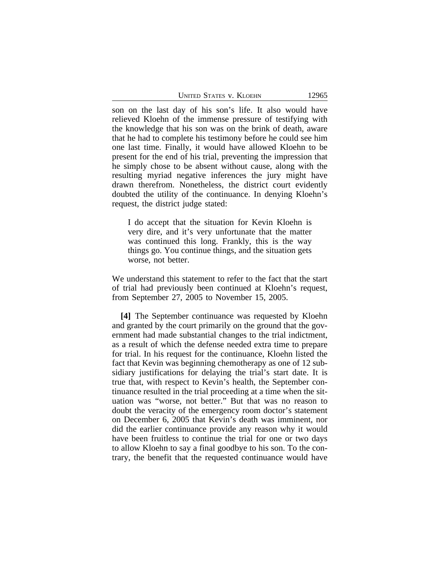son on the last day of his son's life. It also would have relieved Kloehn of the immense pressure of testifying with the knowledge that his son was on the brink of death, aware that he had to complete his testimony before he could see him one last time. Finally, it would have allowed Kloehn to be present for the end of his trial, preventing the impression that he simply chose to be absent without cause, along with the resulting myriad negative inferences the jury might have drawn therefrom. Nonetheless, the district court evidently doubted the utility of the continuance. In denying Kloehn's request, the district judge stated:

I do accept that the situation for Kevin Kloehn is very dire, and it's very unfortunate that the matter was continued this long. Frankly, this is the way things go. You continue things, and the situation gets worse, not better.

We understand this statement to refer to the fact that the start of trial had previously been continued at Kloehn's request, from September 27, 2005 to November 15, 2005.

**[4]** The September continuance was requested by Kloehn and granted by the court primarily on the ground that the government had made substantial changes to the trial indictment, as a result of which the defense needed extra time to prepare for trial. In his request for the continuance, Kloehn listed the fact that Kevin was beginning chemotherapy as one of 12 subsidiary justifications for delaying the trial's start date. It is true that, with respect to Kevin's health, the September continuance resulted in the trial proceeding at a time when the situation was "worse, not better." But that was no reason to doubt the veracity of the emergency room doctor's statement on December 6, 2005 that Kevin's death was imminent, nor did the earlier continuance provide any reason why it would have been fruitless to continue the trial for one or two days to allow Kloehn to say a final goodbye to his son. To the contrary, the benefit that the requested continuance would have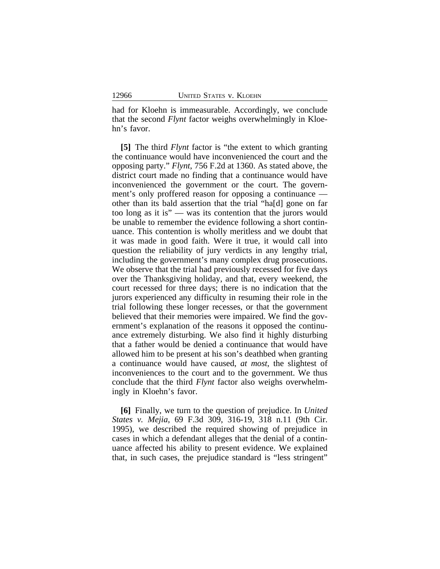had for Kloehn is immeasurable. Accordingly, we conclude that the second *Flynt* factor weighs overwhelmingly in Kloehn's favor.

**[5]** The third *Flynt* factor is "the extent to which granting the continuance would have inconvenienced the court and the opposing party." *Flynt*, 756 F.2d at 1360. As stated above, the district court made no finding that a continuance would have inconvenienced the government or the court. The government's only proffered reason for opposing a continuance other than its bald assertion that the trial "ha[d] gone on far too long as it is" — was its contention that the jurors would be unable to remember the evidence following a short continuance. This contention is wholly meritless and we doubt that it was made in good faith. Were it true, it would call into question the reliability of jury verdicts in any lengthy trial, including the government's many complex drug prosecutions. We observe that the trial had previously recessed for five days over the Thanksgiving holiday, and that, every weekend, the court recessed for three days; there is no indication that the jurors experienced any difficulty in resuming their role in the trial following these longer recesses, or that the government believed that their memories were impaired. We find the government's explanation of the reasons it opposed the continuance extremely disturbing. We also find it highly disturbing that a father would be denied a continuance that would have allowed him to be present at his son's deathbed when granting a continuance would have caused, *at most*, the slightest of inconveniences to the court and to the government. We thus conclude that the third *Flynt* factor also weighs overwhelmingly in Kloehn's favor.

**[6]** Finally, we turn to the question of prejudice. In *United States v. Mejia*, 69 F.3d 309, 316-19, 318 n.11 (9th Cir. 1995), we described the required showing of prejudice in cases in which a defendant alleges that the denial of a continuance affected his ability to present evidence. We explained that, in such cases, the prejudice standard is "less stringent"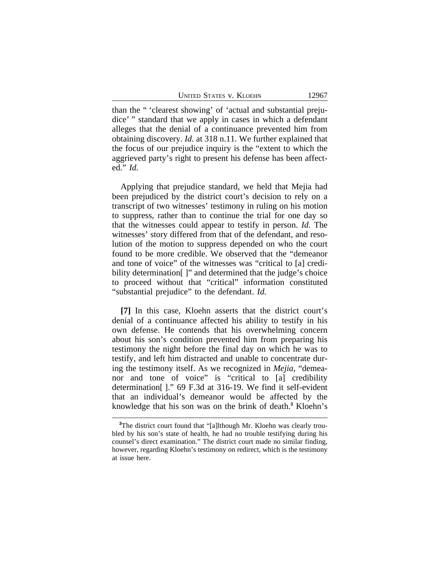UNITED STATES V. KLOEHN 12967

than the " 'clearest showing' of 'actual and substantial prejudice' " standard that we apply in cases in which a defendant alleges that the denial of a continuance prevented him from obtaining discovery. *Id.* at 318 n.11. We further explained that the focus of our prejudice inquiry is the "extent to which the aggrieved party's right to present his defense has been affected." *Id.* 

Applying that prejudice standard, we held that Mejia had been prejudiced by the district court's decision to rely on a transcript of two witnesses' testimony in ruling on his motion to suppress, rather than to continue the trial for one day so that the witnesses could appear to testify in person. *Id.* The witnesses' story differed from that of the defendant, and resolution of the motion to suppress depended on who the court found to be more credible. We observed that the "demeanor and tone of voice" of the witnesses was "critical to [a] credibility determination[]" and determined that the judge's choice to proceed without that "critical" information constituted "substantial prejudice" to the defendant. *Id.* 

**[7]** In this case, Kloehn asserts that the district court's denial of a continuance affected his ability to testify in his own defense. He contends that his overwhelming concern about his son's condition prevented him from preparing his testimony the night before the final day on which he was to testify, and left him distracted and unable to concentrate during the testimony itself. As we recognized in *Mejia*, "demeanor and tone of voice" is "critical to [a] credibility determination[ ]." 69 F.3d at 316-19. We find it self-evident that an individual's demeanor would be affected by the knowledge that his son was on the brink of death.**<sup>3</sup>** Kloehn's

<sup>&</sup>lt;sup>3</sup>The district court found that "[a]lthough Mr. Kloehn was clearly troubled by his son's state of health, he had no trouble testifying during his counsel's direct examination." The district court made no similar finding, however, regarding Kloehn's testimony on redirect, which is the testimony at issue here.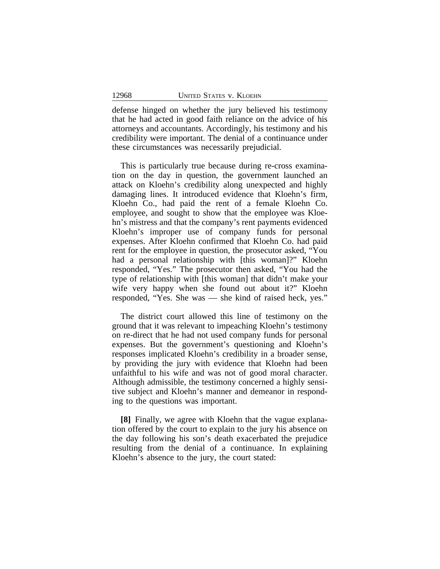defense hinged on whether the jury believed his testimony that he had acted in good faith reliance on the advice of his attorneys and accountants. Accordingly, his testimony and his credibility were important. The denial of a continuance under these circumstances was necessarily prejudicial.

This is particularly true because during re-cross examination on the day in question, the government launched an attack on Kloehn's credibility along unexpected and highly damaging lines. It introduced evidence that Kloehn's firm, Kloehn Co., had paid the rent of a female Kloehn Co. employee, and sought to show that the employee was Kloehn's mistress and that the company's rent payments evidenced Kloehn's improper use of company funds for personal expenses. After Kloehn confirmed that Kloehn Co. had paid rent for the employee in question, the prosecutor asked, "You had a personal relationship with [this woman]?" Kloehn responded, "Yes." The prosecutor then asked, "You had the type of relationship with [this woman] that didn't make your wife very happy when she found out about it?" Kloehn responded, "Yes. She was — she kind of raised heck, yes."

The district court allowed this line of testimony on the ground that it was relevant to impeaching Kloehn's testimony on re-direct that he had not used company funds for personal expenses. But the government's questioning and Kloehn's responses implicated Kloehn's credibility in a broader sense, by providing the jury with evidence that Kloehn had been unfaithful to his wife and was not of good moral character. Although admissible, the testimony concerned a highly sensitive subject and Kloehn's manner and demeanor in responding to the questions was important.

**[8]** Finally, we agree with Kloehn that the vague explanation offered by the court to explain to the jury his absence on the day following his son's death exacerbated the prejudice resulting from the denial of a continuance. In explaining Kloehn's absence to the jury, the court stated: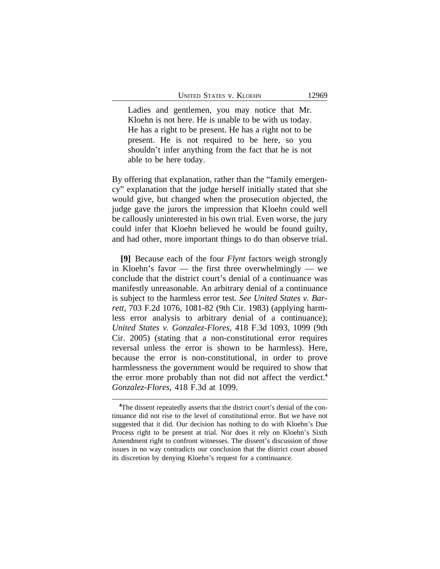Ladies and gentlemen, you may notice that Mr. Kloehn is not here. He is unable to be with us today. He has a right to be present. He has a right not to be present. He is not required to be here, so you shouldn't infer anything from the fact that he is not able to be here today.

By offering that explanation, rather than the "family emergency" explanation that the judge herself initially stated that she would give, but changed when the prosecution objected, the judge gave the jurors the impression that Kloehn could well be callously uninterested in his own trial. Even worse, the jury could infer that Kloehn believed he would be found guilty, and had other, more important things to do than observe trial.

**[9]** Because each of the four *Flynt* factors weigh strongly in Kloehn's favor — the first three overwhelmingly — we conclude that the district court's denial of a continuance was manifestly unreasonable. An arbitrary denial of a continuance is subject to the harmless error test. *See United States v. Barrett*, 703 F.2d 1076, 1081-82 (9th Cir. 1983) (applying harmless error analysis to arbitrary denial of a continuance); *United States v. Gonzalez-Flores,* 418 F.3d 1093, 1099 (9th Cir. 2005) (stating that a non-constitutional error requires reversal unless the error is shown to be harmless). Here, because the error is non-constitutional, in order to prove harmlessness the government would be required to show that the error more probably than not did not affect the verdict.**<sup>4</sup>** *Gonzalez-Flores,* 418 F.3d at 1099.

**<sup>4</sup>**The dissent repeatedly asserts that the district court's denial of the continuance did not rise to the level of constitutional error. But we have not suggested that it did. Our decision has nothing to do with Kloehn's Due Process right to be present at trial. Nor does it rely on Kloehn's Sixth Amendment right to confront witnesses. The dissent's discussion of those issues in no way contradicts our conclusion that the district court abused its discretion by denying Kloehn's request for a continuance.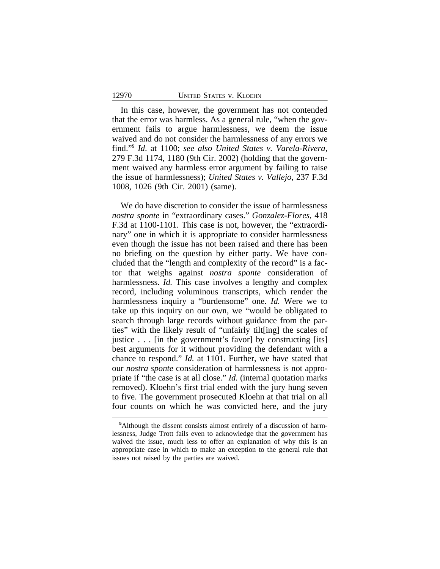In this case, however, the government has not contended that the error was harmless. As a general rule, "when the government fails to argue harmlessness, we deem the issue waived and do not consider the harmlessness of any errors we find." **5** *Id*. at 1100; *see also United States v. Varela-Rivera*, 279 F.3d 1174, 1180 (9th Cir. 2002) (holding that the government waived any harmless error argument by failing to raise the issue of harmlessness); *United States v. Vallejo*, 237 F.3d 1008, 1026 (9th Cir. 2001) (same).

We do have discretion to consider the issue of harmlessness *nostra sponte* in "extraordinary cases." *Gonzalez-Flores,* 418 F.3d at 1100-1101. This case is not, however, the "extraordinary" one in which it is appropriate to consider harmlessness even though the issue has not been raised and there has been no briefing on the question by either party. We have concluded that the "length and complexity of the record" is a factor that weighs against *nostra sponte* consideration of harmlessness. *Id.* This case involves a lengthy and complex record, including voluminous transcripts, which render the harmlessness inquiry a "burdensome" one. *Id.* Were we to take up this inquiry on our own, we "would be obligated to search through large records without guidance from the parties" with the likely result of "unfairly tilt[ing] the scales of justice . . . [in the government's favor] by constructing [its] best arguments for it without providing the defendant with a chance to respond." *Id.* at 1101. Further, we have stated that our *nostra sponte* consideration of harmlessness is not appropriate if "the case is at all close." *Id.* (internal quotation marks removed). Kloehn's first trial ended with the jury hung seven to five. The government prosecuted Kloehn at that trial on all four counts on which he was convicted here, and the jury

**<sup>5</sup>**Although the dissent consists almost entirely of a discussion of harmlessness, Judge Trott fails even to acknowledge that the government has waived the issue, much less to offer an explanation of why this is an appropriate case in which to make an exception to the general rule that issues not raised by the parties are waived.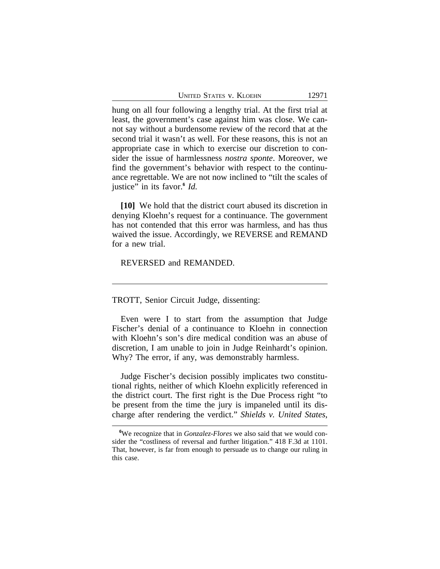UNITED STATES V. KLOEHN 12971

hung on all four following a lengthy trial. At the first trial at least, the government's case against him was close. We cannot say without a burdensome review of the record that at the second trial it wasn't as well. For these reasons, this is not an appropriate case in which to exercise our discretion to consider the issue of harmlessness *nostra sponte*. Moreover, we find the government's behavior with respect to the continuance regrettable. We are not now inclined to "tilt the scales of justice" in its favor.**<sup>6</sup>** *Id.*

**[10]** We hold that the district court abused its discretion in denying Kloehn's request for a continuance. The government has not contended that this error was harmless, and has thus waived the issue. Accordingly, we REVERSE and REMAND for a new trial.

REVERSED and REMANDED.

TROTT, Senior Circuit Judge, dissenting:

Even were I to start from the assumption that Judge Fischer's denial of a continuance to Kloehn in connection with Kloehn's son's dire medical condition was an abuse of discretion, I am unable to join in Judge Reinhardt's opinion. Why? The error, if any, was demonstrably harmless.

Judge Fischer's decision possibly implicates two constitutional rights, neither of which Kloehn explicitly referenced in the district court. The first right is the Due Process right "to be present from the time the jury is impaneled until its discharge after rendering the verdict." *Shields v. United States*,

**<sup>6</sup>**We recognize that in *Gonzalez-Flores* we also said that we would consider the "costliness of reversal and further litigation." 418 F.3d at 1101. That, however, is far from enough to persuade us to change our ruling in this case.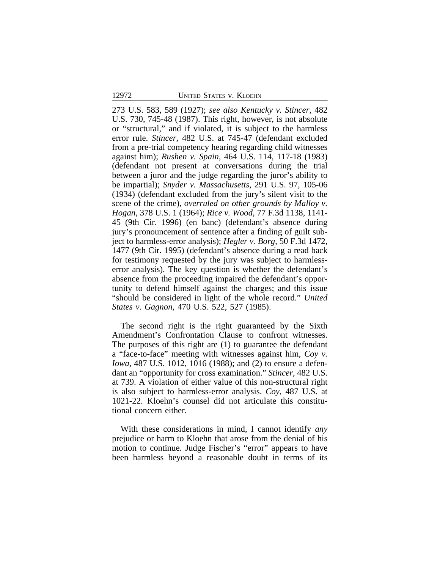273 U.S. 583, 589 (1927); *see also Kentucky v. Stincer*, 482 U.S. 730, 745-48 (1987). This right, however, is not absolute or "structural," and if violated, it is subject to the harmless error rule. *Stincer*, 482 U.S. at 745-47 (defendant excluded from a pre-trial competency hearing regarding child witnesses against him); *Rushen v. Spain*, 464 U.S. 114, 117-18 (1983) (defendant not present at conversations during the trial between a juror and the judge regarding the juror's ability to be impartial); *Snyder v. Massachusetts*, 291 U.S. 97, 105-06 (1934) (defendant excluded from the jury's silent visit to the scene of the crime), *overruled on other grounds by Malloy v. Hogan*, 378 U.S. 1 (1964); *Rice v. Wood*, 77 F.3d 1138, 1141- 45 (9th Cir. 1996) (en banc) (defendant's absence during jury's pronouncement of sentence after a finding of guilt subject to harmless-error analysis); *Hegler v. Borg*, 50 F.3d 1472, 1477 (9th Cir. 1995) (defendant's absence during a read back for testimony requested by the jury was subject to harmlesserror analysis). The key question is whether the defendant's absence from the proceeding impaired the defendant's opportunity to defend himself against the charges; and this issue "should be considered in light of the whole record." *United States v. Gagnon*, 470 U.S. 522, 527 (1985).

The second right is the right guaranteed by the Sixth Amendment's Confrontation Clause to confront witnesses. The purposes of this right are (1) to guarantee the defendant a "face-to-face" meeting with witnesses against him, *Coy v. Iowa*, 487 U.S. 1012, 1016 (1988); and (2) to ensure a defendant an "opportunity for cross examination." *Stincer*, 482 U.S. at 739. A violation of either value of this non-structural right is also subject to harmless-error analysis. *Coy*, 487 U.S. at 1021-22. Kloehn's counsel did not articulate this constitutional concern either.

With these considerations in mind, I cannot identify *any* prejudice or harm to Kloehn that arose from the denial of his motion to continue. Judge Fischer's "error" appears to have been harmless beyond a reasonable doubt in terms of its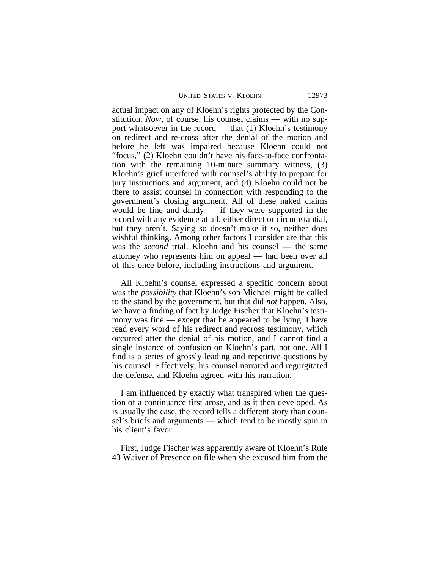UNITED STATES V. KLOEHN 12973

actual impact on any of Kloehn's rights protected by the Constitution. *Now*, of course, his counsel claims — with no support whatsoever in the record — that (1) Kloehn's testimony on redirect and re-cross after the denial of the motion and before he left was impaired because Kloehn could not "focus," (2) Kloehn couldn't have his face-to-face confrontation with the remaining 10-minute summary witness, (3) Kloehn's grief interfered with counsel's ability to prepare for jury instructions and argument, and (4) Kloehn could not be there to assist counsel in connection with responding to the government's closing argument. All of these naked claims would be fine and dandy  $-$  if they were supported in the record with any evidence at all, either direct or circumstantial, but they aren't. Saying so doesn't make it so, neither does wishful thinking. Among other factors I consider are that this was the *second* trial. Kloehn and his counsel — the same attorney who represents him on appeal — had been over all of this once before, including instructions and argument.

All Kloehn's counsel expressed a specific concern about was the *possibility* that Kloehn's son Michael might be called to the stand by the government, but that did *not* happen. Also, we have a finding of fact by Judge Fischer that Kloehn's testimony was fine — except that he appeared to be lying. I have read every word of his redirect and recross testimony, which occurred after the denial of his motion, and I cannot find a single instance of confusion on Kloehn's part, not one. All I find is a series of grossly leading and repetitive questions by his counsel. Effectively, his counsel narrated and regurgitated the defense, and Kloehn agreed with his narration.

I am influenced by exactly what transpired when the question of a continuance first arose, and as it then developed. As is usually the case, the record tells a different story than counsel's briefs and arguments — which tend to be mostly spin in his client's favor.

First, Judge Fischer was apparently aware of Kloehn's Rule 43 Waiver of Presence on file when she excused him from the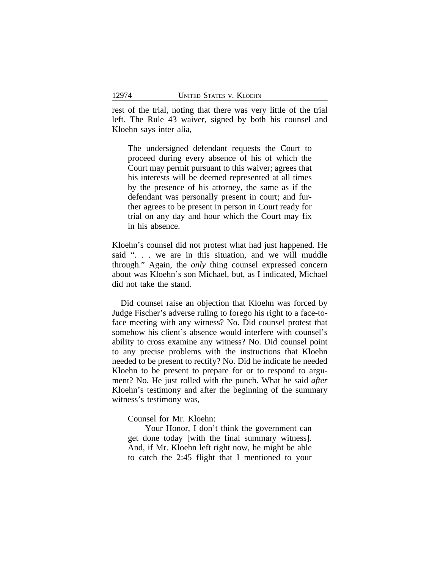rest of the trial, noting that there was very little of the trial left. The Rule 43 waiver, signed by both his counsel and Kloehn says inter alia,

The undersigned defendant requests the Court to proceed during every absence of his of which the Court may permit pursuant to this waiver; agrees that his interests will be deemed represented at all times by the presence of his attorney, the same as if the defendant was personally present in court; and further agrees to be present in person in Court ready for trial on any day and hour which the Court may fix in his absence.

Kloehn's counsel did not protest what had just happened. He said ". . . we are in this situation, and we will muddle through." Again, the *only* thing counsel expressed concern about was Kloehn's son Michael, but, as I indicated, Michael did not take the stand.

Did counsel raise an objection that Kloehn was forced by Judge Fischer's adverse ruling to forego his right to a face-toface meeting with any witness? No. Did counsel protest that somehow his client's absence would interfere with counsel's ability to cross examine any witness? No. Did counsel point to any precise problems with the instructions that Kloehn needed to be present to rectify? No. Did he indicate he needed Kloehn to be present to prepare for or to respond to argument? No. He just rolled with the punch. What he said *after* Kloehn's testimony and after the beginning of the summary witness's testimony was,

Counsel for Mr. Kloehn:

Your Honor, I don't think the government can get done today [with the final summary witness]. And, if Mr. Kloehn left right now, he might be able to catch the 2:45 flight that I mentioned to your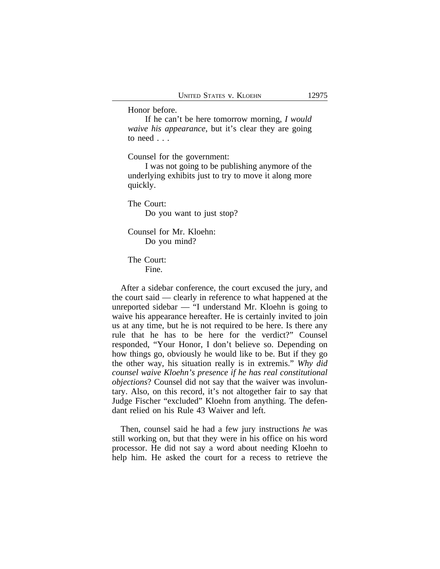Honor before.

If he can't be here tomorrow morning, *I would waive his appearance*, but it's clear they are going to need . . .

Counsel for the government:

I was not going to be publishing anymore of the underlying exhibits just to try to move it along more quickly.

The Court: Do you want to just stop?

Counsel for Mr. Kloehn: Do you mind?

The Court: Fine.

After a sidebar conference, the court excused the jury, and the court said — clearly in reference to what happened at the unreported sidebar — "I understand Mr. Kloehn is going to waive his appearance hereafter. He is certainly invited to join us at any time, but he is not required to be here. Is there any rule that he has to be here for the verdict?" Counsel responded, "Your Honor, I don't believe so. Depending on how things go, obviously he would like to be. But if they go the other way, his situation really is in extremis." *Why did counsel waive Kloehn's presence if he has real constitutional objections*? Counsel did not say that the waiver was involuntary. Also, on this record, it's not altogether fair to say that Judge Fischer "excluded" Kloehn from anything. The defendant relied on his Rule 43 Waiver and left.

Then, counsel said he had a few jury instructions *he* was still working on, but that they were in his office on his word processor. He did not say a word about needing Kloehn to help him. He asked the court for a recess to retrieve the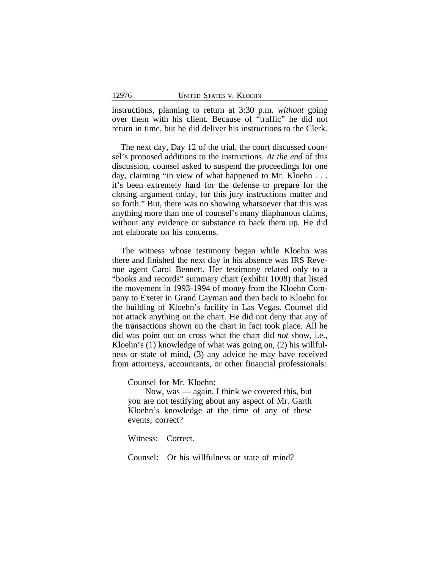instructions, planning to return at 3:30 p.m. *without* going over them with his client. Because of "traffic" he did not return in time, but he did deliver his instructions to the Clerk.

The next day, Day 12 of the trial, the court discussed counsel's proposed additions to the instructions. *At the end* of this discussion, counsel asked to suspend the proceedings for one day, claiming "in view of what happened to Mr. Kloehn . . . it's been extremely hard for the defense to prepare for the closing argument today, for this jury instructions matter and so forth." But, there was no showing whatsoever that this was anything more than one of counsel's many diaphanous claims, without any evidence or substance to back them up. He did not elaborate on his concerns.

The witness whose testimony began while Kloehn was there and finished the next day in his absence was IRS Revenue agent Carol Bennett. Her testimony related only to a "books and records" summary chart (exhibit 1008) that listed the movement in 1993-1994 of money from the Kloehn Company to Exeter in Grand Cayman and then back to Kloehn for the building of Kloehn's facility in Las Vegas. Counsel did not attack anything on the chart. He did not deny that any of the transactions shown on the chart in fact took place. All he did was point out on cross what the chart did *not* show, i.e., Kloehn's (1) knowledge of what was going on, (2) his willfulness or state of mind, (3) any advice he may have received from attorneys, accountants, or other financial professionals:

Counsel for Mr. Kloehn:

Now, was — again, I think we covered this, but you are not testifying about any aspect of Mr. Garth Kloehn's knowledge at the time of any of these events; correct?

Witness: Correct.

Counsel: Or his willfulness or state of mind?